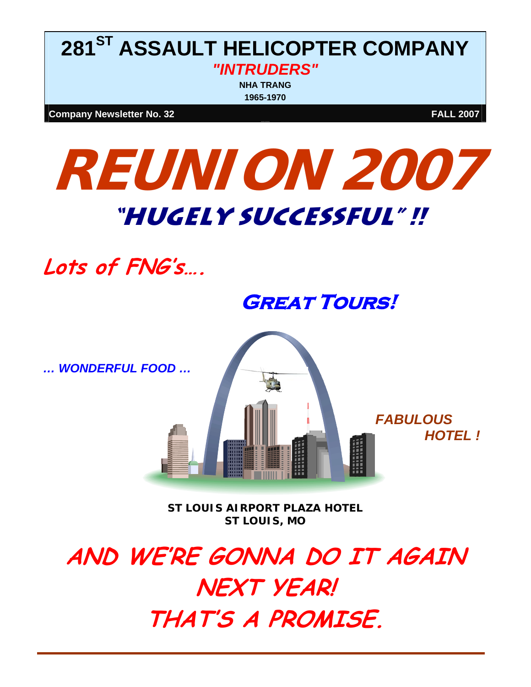## **281ST ASSAULT HELICOPTER COMPANY**  *"INTRUDERS"*  **NHA TRANG**

**1965-1970**

**Company Newsletter No. 32** FALL 2007

# **REUNION 2007 "HUGEly SUCCESSful" !!**

**Lots of FNG's….** 

# **Great Tours!**

*… WONDERFUL FOOD …* 



*ST LOUIS AIRPORT PLAZA HOTEL ST LOUIS, MO* 

**AND WE'RE GONNA DO IT AGAIN NEXT YEAR! THAT'S A PROMISE.**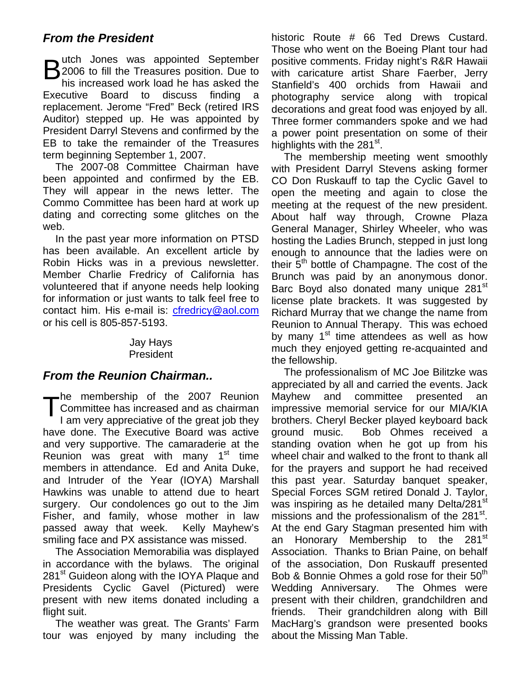### *From the President*

**B** utch Jones was appointed September<br> **B** 2006 to fill the Treasures position. Due to<br>
bis increased work load be has asked the 12006 to fill the Treasures position. Due to his increased work load he has asked the Executive Board to discuss finding a replacement. Jerome "Fred" Beck (retired IRS Auditor) stepped up. He was appointed by President Darryl Stevens and confirmed by the EB to take the remainder of the Treasures term beginning September 1, 2007.

The 2007-08 Committee Chairman have been appointed and confirmed by the EB. They will appear in the news letter. The Commo Committee has been hard at work up dating and correcting some glitches on the web.

In the past year more information on PTSD has been available. An excellent article by Robin Hicks was in a previous newsletter. Member Charlie Fredricy of California has volunteered that if anyone needs help looking for information or just wants to talk feel free to contact him. His e-mail is: [cfredricy@aol.com](mailto:cfredricy@aol.com)  or his cell is 805-857-5193.

#### Jay Hays President

#### *From the Reunion Chairman..*

he membership of the 2007 Reunion Committee has increased and as chairman I am very appreciative of the great job they have done. The Executive Board was active and very supportive. The camaraderie at the Reunion was great with many  $1<sup>st</sup>$  time members in attendance. Ed and Anita Duke, and Intruder of the Year (IOYA) Marshall Hawkins was unable to attend due to heart surgery. Our condolences go out to the Jim Fisher, and family, whose mother in law passed away that week. Kelly Mayhew's smiling face and PX assistance was missed.  $\mathsf{T}^\text{\tiny{ne}}_{\scriptscriptstyle\text{L2}}$ 

 The Association Memorabilia was displayed in accordance with the bylaws. The original 281<sup>st</sup> Guideon along with the IOYA Plaque and Presidents Cyclic Gavel (Pictured) were present with new items donated including a flight suit.

 The weather was great. The Grants' Farm tour was enjoyed by many including the historic Route # 66 Ted Drews Custard. Those who went on the Boeing Plant tour had positive comments. Friday night's R&R Hawaii with caricature artist Share Faerber, Jerry Stanfield's 400 orchids from Hawaii and photography service along with tropical decorations and great food was enjoyed by all. Three former commanders spoke and we had a power point presentation on some of their highlights with the  $281<sup>st</sup>$ .

 The membership meeting went smoothly with President Darryl Stevens asking former CO Don Ruskauff to tap the Cyclic Gavel to open the meeting and again to close the meeting at the request of the new president. About half way through, Crowne Plaza General Manager, Shirley Wheeler, who was hosting the Ladies Brunch, stepped in just long enough to announce that the ladies were on their 5<sup>th</sup> bottle of Champagne. The cost of the Brunch was paid by an anonymous donor. Barc Boyd also donated many unique 281<sup>st</sup> license plate brackets. It was suggested by Richard Murray that we change the name from Reunion to Annual Therapy. This was echoed by many  $1<sup>st</sup>$  time attendees as well as how much they enjoyed getting re-acquainted and the fellowship.

 The professionalism of MC Joe Bilitzke was appreciated by all and carried the events. Jack Mayhew and committee presented an impressive memorial service for our MIA/KIA brothers. Cheryl Becker played keyboard back ground music. Bob Ohmes received a standing ovation when he got up from his wheel chair and walked to the front to thank all for the prayers and support he had received this past year. Saturday banquet speaker, Special Forces SGM retired Donald J. Taylor, was inspiring as he detailed many Delta/281<sup>st</sup> missions and the professionalism of the 281<sup>st</sup>. At the end Gary Stagman presented him with an Honorary Membership to the 281<sup>st</sup> Association. Thanks to Brian Paine, on behalf of the association, Don Ruskauff presented Bob & Bonnie Ohmes a gold rose for their  $50<sup>th</sup>$ Wedding Anniversary. The Ohmes were present with their children, grandchildren and friends. Their grandchildren along with Bill MacHarg's grandson were presented books about the Missing Man Table.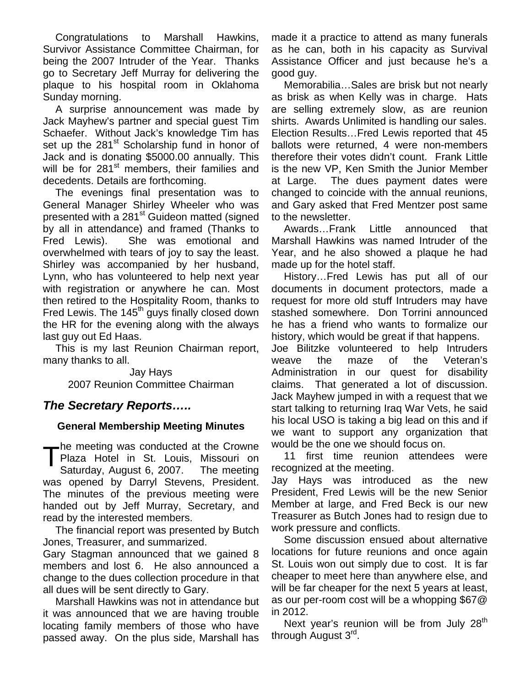Congratulations to Marshall Hawkins, Survivor Assistance Committee Chairman, for being the 2007 Intruder of the Year. Thanks go to Secretary Jeff Murray for delivering the plaque to his hospital room in Oklahoma Sunday morning.

A surprise announcement was made by Jack Mayhew's partner and special guest Tim Schaefer. Without Jack's knowledge Tim has set up the 281<sup>st</sup> Scholarship fund in honor of Jack and is donating \$5000.00 annually. This will be for 281<sup>st</sup> members, their families and decedents. Details are forthcoming.

The evenings final presentation was to General Manager Shirley Wheeler who was presented with a 281<sup>st</sup> Guideon matted (signed by all in attendance) and framed (Thanks to Fred Lewis). She was emotional and overwhelmed with tears of joy to say the least. Shirley was accompanied by her husband, Lynn, who has volunteered to help next year with registration or anywhere he can. Most then retired to the Hospitality Room, thanks to Fred Lewis. The  $145<sup>th</sup>$  guys finally closed down the HR for the evening along with the always last guy out Ed Haas.

 This is my last Reunion Chairman report, many thanks to all.

> Jay Hays 2007 Reunion Committee Chairman

#### *The Secretary Reports…..*

#### **General Membership Meeting Minutes**

he meeting was conducted at the Crowne Plaza Hotel in St. Louis, Missouri on Saturday, August 6, 2007. The meeting was opened by Darryl Stevens, President. The minutes of the previous meeting were handed out by Jeff Murray, Secretary, and read by the interested members.  $\mathsf{T}^\text{\tiny \rm{PG}}_{\rm \scriptscriptstyle S_i}$ 

The financial report was presented by Butch Jones, Treasurer, and summarized.

Gary Stagman announced that we gained 8 members and lost 6. He also announced a change to the dues collection procedure in that all dues will be sent directly to Gary.

Marshall Hawkins was not in attendance but it was announced that we are having trouble locating family members of those who have passed away. On the plus side, Marshall has made it a practice to attend as many funerals as he can, both in his capacity as Survival Assistance Officer and just because he's a good guy.

Memorabilia…Sales are brisk but not nearly as brisk as when Kelly was in charge. Hats are selling extremely slow, as are reunion shirts. Awards Unlimited is handling our sales. Election Results…Fred Lewis reported that 45 ballots were returned, 4 were non-members therefore their votes didn't count. Frank Little is the new VP, Ken Smith the Junior Member at Large. The dues payment dates were changed to coincide with the annual reunions, and Gary asked that Fred Mentzer post same to the newsletter.

Awards…Frank Little announced that Marshall Hawkins was named Intruder of the Year, and he also showed a plaque he had made up for the hotel staff.

History…Fred Lewis has put all of our documents in document protectors, made a request for more old stuff Intruders may have stashed somewhere. Don Torrini announced he has a friend who wants to formalize our history, which would be great if that happens.

Joe Bilitzke volunteered to help Intruders weave the maze of the Veteran's Administration in our quest for disability claims. That generated a lot of discussion. Jack Mayhew jumped in with a request that we start talking to returning Iraq War Vets, he said his local USO is taking a big lead on this and if we want to support any organization that would be the one we should focus on.

11 first time reunion attendees were recognized at the meeting.

Jay Hays was introduced as the new President, Fred Lewis will be the new Senior Member at large, and Fred Beck is our new Treasurer as Butch Jones had to resign due to work pressure and conflicts.

Some discussion ensued about alternative locations for future reunions and once again St. Louis won out simply due to cost. It is far cheaper to meet here than anywhere else, and will be far cheaper for the next 5 years at least, as our per-room cost will be a whopping \$67@ in 2012.

Next year's reunion will be from July 28<sup>th</sup> through August 3<sup>rd</sup>.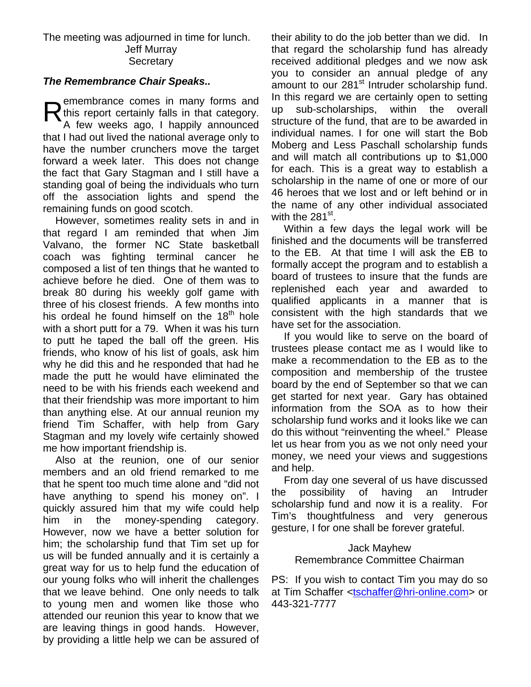#### The meeting was adjourned in time for lunch. Jeff Murray **Secretary**

#### *The Remembrance Chair Speaks..*

emembrance comes in many forms and this report certainly falls in that category. A few weeks ago, I happily announced that I had out lived the national average only to have the number crunchers move the target forward a week later. This does not change the fact that Gary Stagman and I still have a standing goal of being the individuals who turn off the association lights and spend the remaining funds on good scotch.  $R_{\tiny \Delta}^{\tiny \textrm{eh}}$ 

 However, sometimes reality sets in and in that regard I am reminded that when Jim Valvano, the former NC State basketball coach was fighting terminal cancer he composed a list of ten things that he wanted to achieve before he died. One of them was to break 80 during his weekly golf game with three of his closest friends. A few months into his ordeal he found himself on the  $18<sup>th</sup>$  hole with a short putt for a 79. When it was his turn to putt he taped the ball off the green. His friends, who know of his list of goals, ask him why he did this and he responded that had he made the putt he would have eliminated the need to be with his friends each weekend and that their friendship was more important to him than anything else. At our annual reunion my friend Tim Schaffer, with help from Gary Stagman and my lovely wife certainly showed me how important friendship is.

Also at the reunion, one of our senior members and an old friend remarked to me that he spent too much time alone and "did not have anything to spend his money on". I quickly assured him that my wife could help him in the money-spending category. However, now we have a better solution for him; the scholarship fund that Tim set up for us will be funded annually and it is certainly a great way for us to help fund the education of our young folks who will inherit the challenges that we leave behind. One only needs to talk to young men and women like those who attended our reunion this year to know that we are leaving things in good hands. However, by providing a little help we can be assured of

their ability to do the job better than we did. In that regard the scholarship fund has already received additional pledges and we now ask you to consider an annual pledge of any amount to our 281<sup>st</sup> Intruder scholarship fund. In this regard we are certainly open to setting up sub-scholarships, within the overall structure of the fund, that are to be awarded in individual names. I for one will start the Bob Moberg and Less Paschall scholarship funds and will match all contributions up to \$1,000 for each. This is a great way to establish a scholarship in the name of one or more of our 46 heroes that we lost and or left behind or in the name of any other individual associated with the  $281^\text{st}$ .

Within a few days the legal work will be finished and the documents will be transferred to the EB. At that time I will ask the EB to formally accept the program and to establish a board of trustees to insure that the funds are replenished each year and awarded to qualified applicants in a manner that is consistent with the high standards that we have set for the association.

If you would like to serve on the board of trustees please contact me as I would like to make a recommendation to the EB as to the composition and membership of the trustee board by the end of September so that we can get started for next year. Gary has obtained information from the SOA as to how their scholarship fund works and it looks like we can do this without "reinventing the wheel." Please let us hear from you as we not only need your money, we need your views and suggestions and help.

From day one several of us have discussed the possibility of having an Intruder scholarship fund and now it is a reality. For Tim's thoughtfulness and very generous gesture, I for one shall be forever grateful.

#### Jack Mayhew Remembrance Committee Chairman

PS: If you wish to contact Tim you may do so at Tim Schaffer [<tschaffer@hri-online.com>](mailto:tschaffer@hri-online.com) or 443-321-7777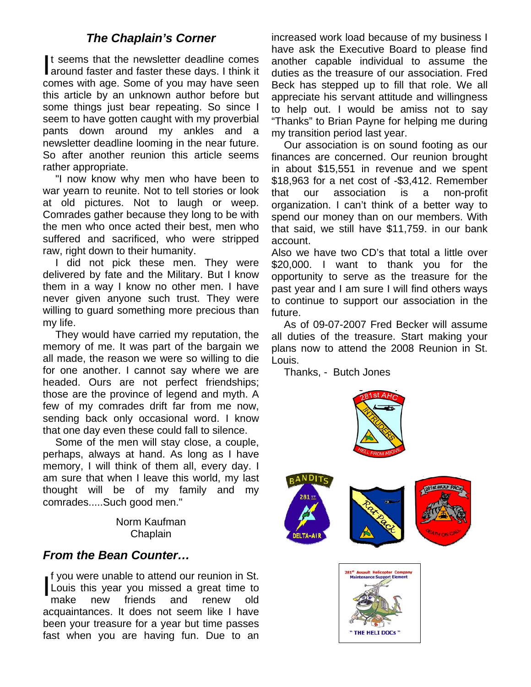#### *The Chaplain's Corner*

t seems that the newsletter deadline comes It seems that the newsletter deadline comes<br>around faster and faster these days. I think it comes with age. Some of you may have seen this article by an unknown author before but some things just bear repeating. So since I seem to have gotten caught with my proverbial pants down around my ankles and a newsletter deadline looming in the near future. So after another reunion this article seems rather appropriate.

"I now know why men who have been to war yearn to reunite. Not to tell stories or look at old pictures. Not to laugh or weep. Comrades gather because they long to be with the men who once acted their best, men who suffered and sacrificed, who were stripped raw, right down to their humanity.

I did not pick these men. They were delivered by fate and the Military. But I know them in a way I know no other men. I have never given anyone such trust. They were willing to guard something more precious than my life.

They would have carried my reputation, the memory of me. It was part of the bargain we all made, the reason we were so willing to die for one another. I cannot say where we are headed. Ours are not perfect friendships; those are the province of legend and myth. A few of my comrades drift far from me now, sending back only occasional word. I know that one day even these could fall to silence.

Some of the men will stay close, a couple, perhaps, always at hand. As long as I have memory, I will think of them all, every day. I am sure that when I leave this world, my last thought will be of my family and my comrades.....Such good men."

> Norm Kaufman Chaplain

#### *From the Bean Counter…*

f you were unable to attend our reunion in St. Louis this year you missed a great time to make new friends and renew old acquaintances. It does not seem like I have been your treasure for a year but time passes fast when you are having fun. Due to an  $\prod_{m=1}^{n}$ 

increased work load because of my business I have ask the Executive Board to please find another capable individual to assume the duties as the treasure of our association. Fred Beck has stepped up to fill that role. We all appreciate his servant attitude and willingness to help out. I would be amiss not to say "Thanks" to Brian Payne for helping me during my transition period last year.

Our association is on sound footing as our finances are concerned. Our reunion brought in about \$15,551 in revenue and we spent \$18,963 for a net cost of -\$3,412. Remember that our association is a non-profit organization. I can't think of a better way to spend our money than on our members. With that said, we still have \$11,759. in our bank account.

Also we have two CD's that total a little over \$20,000. I want to thank you for the opportunity to serve as the treasure for the past year and I am sure I will find others ways to continue to support our association in the future.

As of 09-07-2007 Fred Becker will assume all duties of the treasure. Start making your plans now to attend the 2008 Reunion in St. Louis.

Thanks, - Butch Jones

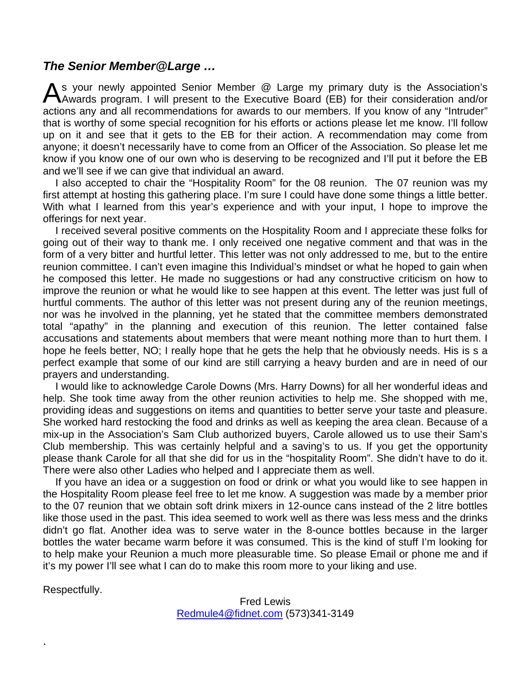#### *The Senior Member@Large …*

As your newly appointed Senior Member @ Large my primary duty is the Association's Awards program. I will present to the Executive Board (EB) for their consideration and/or Awards program. I will present to the Executive Board (EB) for their consideration and/or actions any and all recommendations for awards to our members. If you know of any "Intruder" that is worthy of some special recognition for his efforts or actions please let me know. I'll follow up on it and see that it gets to the EB for their action. A recommendation may come from anyone; it doesn't necessarily have to come from an Officer of the Association. So please let me know if you know one of our own who is deserving to be recognized and I'll put it before the EB and we'll see if we can give that individual an award.

I also accepted to chair the "Hospitality Room" for the 08 reunion. The 07 reunion was my first attempt at hosting this gathering place. I'm sure I could have done some things a little better. With what I learned from this year's experience and with your input, I hope to improve the offerings for next year.

 I received several positive comments on the Hospitality Room and I appreciate these folks for going out of their way to thank me. I only received one negative comment and that was in the form of a very bitter and hurtful letter. This letter was not only addressed to me, but to the entire reunion committee. I can't even imagine this Individual's mindset or what he hoped to gain when he composed this letter. He made no suggestions or had any constructive criticism on how to improve the reunion or what he would like to see happen at this event. The letter was just full of hurtful comments. The author of this letter was not present during any of the reunion meetings, nor was he involved in the planning, yet he stated that the committee members demonstrated total "apathy" in the planning and execution of this reunion. The letter contained false accusations and statements about members that were meant nothing more than to hurt them. I hope he feels better, NO; I really hope that he gets the help that he obviously needs. His is s a perfect example that some of our kind are still carrying a heavy burden and are in need of our prayers and understanding.

 I would like to acknowledge Carole Downs (Mrs. Harry Downs) for all her wonderful ideas and help. She took time away from the other reunion activities to help me. She shopped with me, providing ideas and suggestions on items and quantities to better serve your taste and pleasure. She worked hard restocking the food and drinks as well as keeping the area clean. Because of a mix-up in the Association's Sam Club authorized buyers, Carole allowed us to use their Sam's Club membership. This was certainly helpful and a saving's to us. If you get the opportunity please thank Carole for all that she did for us in the "hospitality Room". She didn't have to do it. There were also other Ladies who helped and I appreciate them as well.

If you have an idea or a suggestion on food or drink or what you would like to see happen in the Hospitality Room please feel free to let me know. A suggestion was made by a member prior to the 07 reunion that we obtain soft drink mixers in 12-ounce cans instead of the 2 litre bottles like those used in the past. This idea seemed to work well as there was less mess and the drinks didn't go flat. Another idea was to serve water in the 8-ounce bottles because in the larger bottles the water became warm before it was consumed. This is the kind of stuff I'm looking for to help make your Reunion a much more pleasurable time. So please Email or phone me and if it's my power I'll see what I can do to make this room more to your liking and use.

Respectfully.

.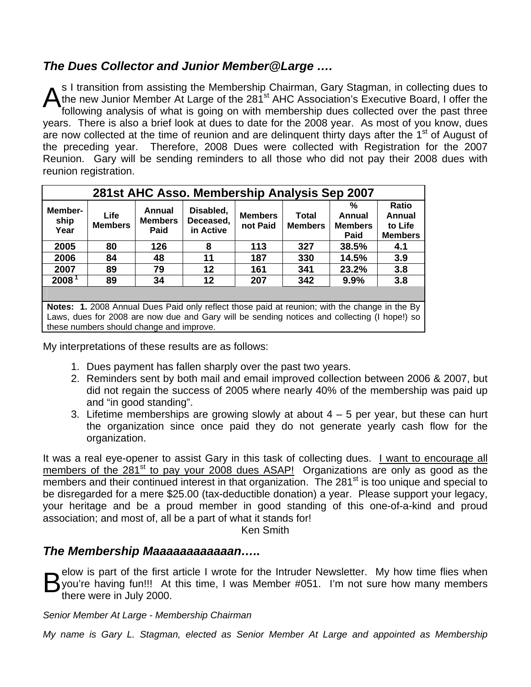## *The Dues Collector and Junior Member@Large ….*

s I transition from assisting the Membership Chairman, Gary Stagman, in collecting dues to the new Junior Member At Large of the 281<sup>st</sup> AHC Association's Executive Board, I offer the following analysis of what is going on with membership dues collected over the past three years. There is also a brief look at dues to date for the 2008 year. As most of you know, dues are now collected at the time of reunion and are delinguent thirty days after the  $1<sup>st</sup>$  of August of the preceding year. Therefore, 2008 Dues were collected with Registration for the 2007 Reunion. Gary will be sending reminders to all those who did not pay their 2008 dues with reunion registration.  $\mathsf{A}^\mathsf{sh}_\mathsf{fo}$ 

| 281st AHC Asso. Membership Analysis Sep 2007                                                                                                                                                                                              |                               |                                  |                                     |                            |                         |                                       |                                                     |
|-------------------------------------------------------------------------------------------------------------------------------------------------------------------------------------------------------------------------------------------|-------------------------------|----------------------------------|-------------------------------------|----------------------------|-------------------------|---------------------------------------|-----------------------------------------------------|
| Member-<br>ship<br>Year                                                                                                                                                                                                                   | <b>Life</b><br><b>Members</b> | Annual<br><b>Members</b><br>Paid | Disabled.<br>Deceased,<br>in Active | <b>Members</b><br>not Paid | Total<br><b>Members</b> | %<br>Annual<br><b>Members</b><br>Paid | <b>Ratio</b><br>Annual<br>to Life<br><b>Members</b> |
| 2005                                                                                                                                                                                                                                      | 80                            | 126                              | 8                                   | 113                        | 327                     | 38.5%                                 | 4.1                                                 |
| 2006                                                                                                                                                                                                                                      | 84                            | 48                               | 11                                  | 187                        | 330                     | 14.5%                                 | 3.9                                                 |
| 2007                                                                                                                                                                                                                                      | 89                            | 79                               | $12 \,$                             | 161                        | 341                     | 23.2%                                 | 3.8                                                 |
| 2008 <sup>1</sup>                                                                                                                                                                                                                         | 89                            | 34                               | 12                                  | 207                        | 342                     | 9.9%                                  | 3.8                                                 |
|                                                                                                                                                                                                                                           |                               |                                  |                                     |                            |                         |                                       |                                                     |
| Notes: 1. 2008 Annual Dues Paid only reflect those paid at reunion; with the change in the By<br>Laws, dues for 2008 are now due and Gary will be sending notices and collecting (I hope!) so<br>these numbers should change and improve. |                               |                                  |                                     |                            |                         |                                       |                                                     |

My interpretations of these results are as follows:

- 1. Dues payment has fallen sharply over the past two years.
- 2. Reminders sent by both mail and email improved collection between 2006 & 2007, but did not regain the success of 2005 where nearly 40% of the membership was paid up and "in good standing".
- 3. Lifetime memberships are growing slowly at about  $4 5$  per year, but these can hurt the organization since once paid they do not generate yearly cash flow for the organization.

It was a real eye-opener to assist Gary in this task of collecting dues. I want to encourage all members of the  $281<sup>st</sup>$  to pay your 2008 dues ASAP! Organizations are only as good as the members and their continued interest in that organization. The 281<sup>st</sup> is too unique and special to be disregarded for a mere \$25.00 (tax-deductible donation) a year. Please support your legacy, your heritage and be a proud member in good standing of this one-of-a-kind and proud association; and most of, all be a part of what it stands for!

Ken Smith

#### *The Membership Maaaaaaaaaaaan…..*

elow is part of the first article I wrote for the Intruder Newsletter. My how time flies when you're having fun!!! At this time, I was Member #051. I'm not sure how many members there were in July 2000.

*Senior Member At Large - Membership Chairman* 

*My name is Gary L. Stagman, elected as Senior Member At Large and appointed as Membership*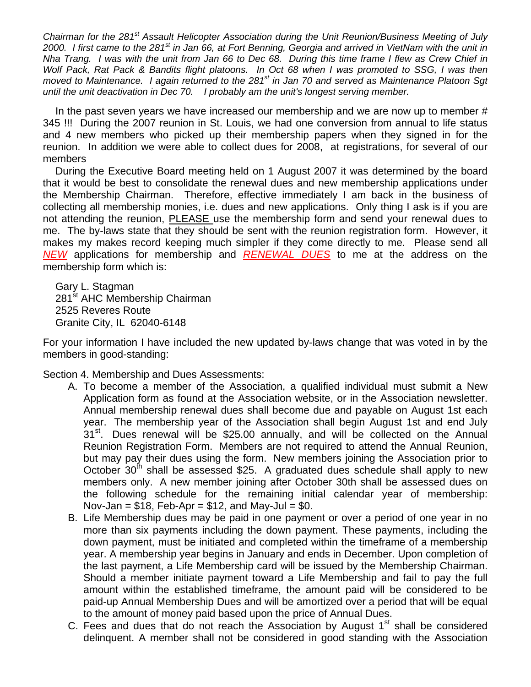*Chairman for the 281st Assault Helicopter Association during the Unit Reunion/Business Meeting of July 2000. I first came to the 281st in Jan 66, at Fort Benning, Georgia and arrived in VietNam with the unit in Nha Trang. I was with the unit from Jan 66 to Dec 68. During this time frame I flew as Crew Chief in Wolf Pack, Rat Pack & Bandits flight platoons. In Oct 68 when I was promoted to SSG, I was then moved to Maintenance. I again returned to the 281st in Jan 70 and served as Maintenance Platoon Sgt until the unit deactivation in Dec 70. I probably am the unit's longest serving member.* 

In the past seven years we have increased our membership and we are now up to member # 345 !!! During the 2007 reunion in St. Louis, we had one conversion from annual to life status and 4 new members who picked up their membership papers when they signed in for the reunion. In addition we were able to collect dues for 2008, at registrations, for several of our members

During the Executive Board meeting held on 1 August 2007 it was determined by the board that it would be best to consolidate the renewal dues and new membership applications under the Membership Chairman. Therefore, effective immediately I am back in the business of collecting all membership monies, i.e. dues and new applications. Only thing I ask is if you are not attending the reunion, PLEASE use the membership form and send your renewal dues to me. The by-laws state that they should be sent with the reunion registration form. However, it makes my makes record keeping much simpler if they come directly to me. Please send all *NEW* applications for membership and *RENEWAL DUES* to me at the address on the membership form which is:

Gary L. Stagman 281<sup>st</sup> AHC Membership Chairman 2525 Reveres Route Granite City, IL 62040-6148

For your information I have included the new updated by-laws change that was voted in by the members in good-standing:

Section 4. Membership and Dues Assessments:

- A. To become a member of the Association, a qualified individual must submit a New Application form as found at the Association website, or in the Association newsletter. Annual membership renewal dues shall become due and payable on August 1st each year. The membership year of the Association shall begin August 1st and end July 31<sup>st</sup>. Dues renewal will be \$25.00 annually, and will be collected on the Annual Reunion Registration Form. Members are not required to attend the Annual Reunion, but may pay their dues using the form. New members joining the Association prior to October  $30<sup>th</sup>$  shall be assessed \$25. A graduated dues schedule shall apply to new members only. A new member joining after October 30th shall be assessed dues on the following schedule for the remaining initial calendar year of membership: Nov-Jan  $= $18$ , Feb-Apr  $= $12$ , and May-Jul  $= $0$ .
- B. Life Membership dues may be paid in one payment or over a period of one year in no more than six payments including the down payment. These payments, including the down payment, must be initiated and completed within the timeframe of a membership year. A membership year begins in January and ends in December. Upon completion of the last payment, a Life Membership card will be issued by the Membership Chairman. Should a member initiate payment toward a Life Membership and fail to pay the full amount within the established timeframe, the amount paid will be considered to be paid-up Annual Membership Dues and will be amortized over a period that will be equal to the amount of money paid based upon the price of Annual Dues.
- C. Fees and dues that do not reach the Association by August  $1<sup>st</sup>$  shall be considered delinquent. A member shall not be considered in good standing with the Association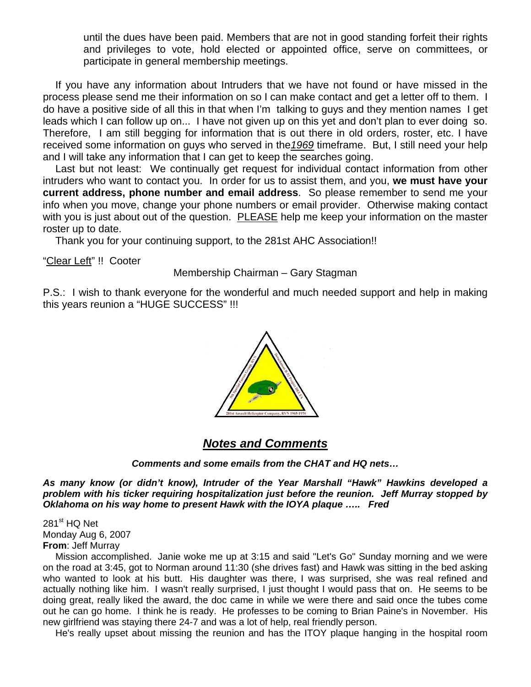until the dues have been paid. Members that are not in good standing forfeit their rights and privileges to vote, hold elected or appointed office, serve on committees, or participate in general membership meetings.

If you have any information about Intruders that we have not found or have missed in the process please send me their information on so I can make contact and get a letter off to them. I do have a positive side of all this in that when I'm talking to guys and they mention names I get leads which I can follow up on... I have not given up on this yet and don't plan to ever doing so. Therefore, I am still begging for information that is out there in old orders, roster, etc. I have received some information on guys who served in the*1969* timeframe. But, I still need your help and I will take any information that I can get to keep the searches going.

Last but not least: We continually get request for individual contact information from other intruders who want to contact you. In order for us to assist them, and you, **we must have your current address, phone number and email address**. So please remember to send me your info when you move, change your phone numbers or email provider. Otherwise making contact with you is just about out of the question. PLEASE help me keep your information on the master roster up to date.

Thank you for your continuing support, to the 281st AHC Association!!

"Clear Left" !! Cooter

Membership Chairman – Gary Stagman

P.S.: I wish to thank everyone for the wonderful and much needed support and help in making this years reunion a "HUGE SUCCESS" !!!



#### *Notes and Comments*

*Comments and some emails from the CHAT and HQ nets…* 

*As many know (or didn't know), Intruder of the Year Marshall "Hawk" Hawkins developed a problem with his ticker requiring hospitalization just before the reunion. Jeff Murray stopped by Oklahoma on his way home to present Hawk with the IOYA plaque ….. Fred* 

 $281<sup>st</sup>$  HQ Net Monday Aug 6, 2007 **From**: Jeff Murray

Mission accomplished. Janie woke me up at 3:15 and said "Let's Go" Sunday morning and we were on the road at 3:45, got to Norman around 11:30 (she drives fast) and Hawk was sitting in the bed asking who wanted to look at his butt. His daughter was there, I was surprised, she was real refined and actually nothing like him. I wasn't really surprised, I just thought I would pass that on. He seems to be doing great, really liked the award, the doc came in while we were there and said once the tubes come out he can go home. I think he is ready. He professes to be coming to Brian Paine's in November. His new girlfriend was staying there 24-7 and was a lot of help, real friendly person.

He's really upset about missing the reunion and has the ITOY plaque hanging in the hospital room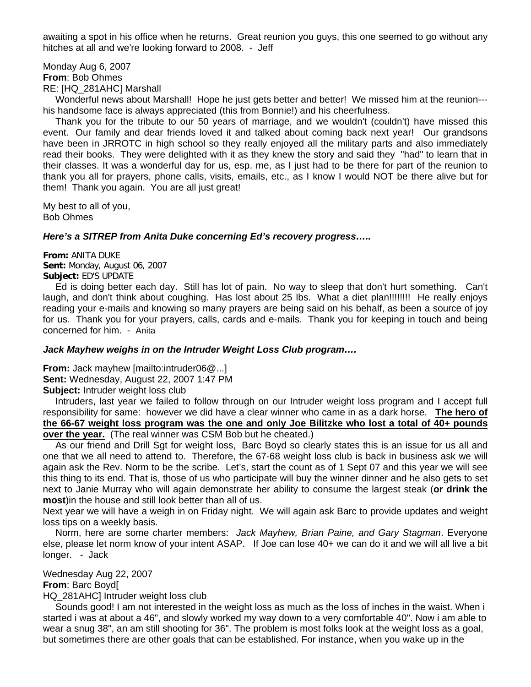awaiting a spot in his office when he returns. Great reunion you guys, this one seemed to go without any hitches at all and we're looking forward to 2008. - Jeff

Monday Aug 6, 2007 **From**: Bob Ohmes RE: [HQ\_281AHC] Marshall

Wonderful news about Marshall! Hope he just gets better and better! We missed him at the reunion-- his handsome face is always appreciated (this from Bonnie!) and his cheerfulness.

Thank you for the tribute to our 50 years of marriage, and we wouldn't (couldn't) have missed this event. Our family and dear friends loved it and talked about coming back next year! Our grandsons have been in JRROTC in high school so they really enjoyed all the military parts and also immediately read their books. They were delighted with it as they knew the story and said they "had" to learn that in their classes. It was a wonderful day for us, esp. me, as I just had to be there for part of the reunion to thank you all for prayers, phone calls, visits, emails, etc., as I know I would NOT be there alive but for them! Thank you again. You are all just great!

My best to all of you, Bob Ohmes

#### *Here's a SITREP from Anita Duke concerning Ed's recovery progress…..*

**From:** ANITA DUKE **Sent:** Monday, August 06, 2007 **Subject:** ED'S UPDATE

Ed is doing better each day. Still has lot of pain. No way to sleep that don't hurt something. Can't laugh, and don't think about coughing. Has lost about 25 lbs. What a diet plan!!!!!!!! He really enjoys reading your e-mails and knowing so many prayers are being said on his behalf, as been a source of joy for us. Thank you for your prayers, calls, cards and e-mails. Thank you for keeping in touch and being concerned for him. - Anita

#### *Jack Mayhew weighs in on the Intruder Weight Loss Club program….*

**From:** Jack mayhew [mailto:intruder06@...] **Sent:** Wednesday, August 22, 2007 1:47 PM **Subject:** Intruder weight loss club

 Intruders, last year we failed to follow through on our Intruder weight loss program and I accept full responsibility for same: however we did have a clear winner who came in as a dark horse. **The hero of the 66-67 weight loss program was the one and only Joe Bilitzke who lost a total of 40+ pounds over the year.** (The real winner was CSM Bob but he cheated.)

As our friend and Drill Sgt for weight loss, Barc Boyd so clearly states this is an issue for us all and one that we all need to attend to. Therefore, the 67-68 weight loss club is back in business ask we will again ask the Rev. Norm to be the scribe. Let's, start the count as of 1 Sept 07 and this year we will see this thing to its end. That is, those of us who participate will buy the winner dinner and he also gets to set next to Janie Murray who will again demonstrate her ability to consume the largest steak (**or drink the most**)in the house and still look better than all of us.

Next year we will have a weigh in on Friday night. We will again ask Barc to provide updates and weight loss tips on a weekly basis.

 Norm, here are some charter members: *Jack Mayhew, Brian Paine, and Gary Stagman*. Everyone else, please let norm know of your intent ASAP. If Joe can lose 40+ we can do it and we will all live a bit longer. - Jack

#### Wednesday Aug 22, 2007

#### **From**: Barc Boyd[

HQ\_281AHC] Intruder weight loss club

Sounds good! I am not interested in the weight loss as much as the loss of inches in the waist. When i started i was at about a 46", and slowly worked my way down to a very comfortable 40". Now i am able to wear a snug 38", an am still shooting for 36". The problem is most folks look at the weight loss as a goal, but sometimes there are other goals that can be established. For instance, when you wake up in the